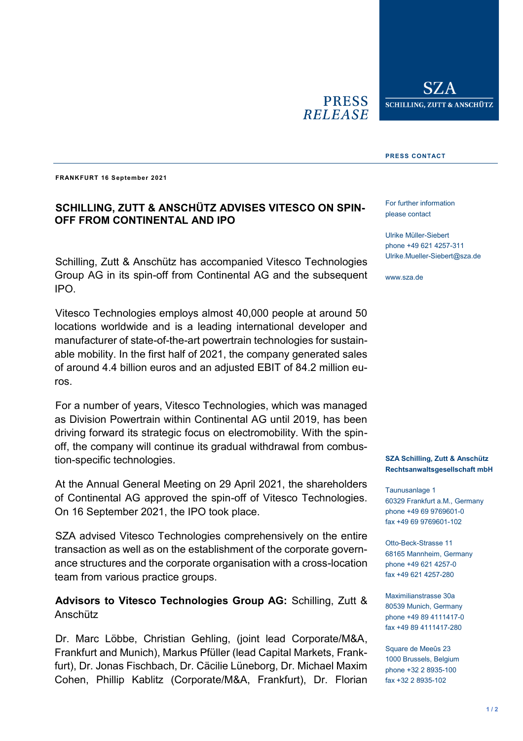**PRESS RELEASE** 

SZ. **SCHILLING, ZUTT & ANSCHÜTZ** 

#### **PRESS CONTACT**

**FRANKFURT 16 September 2021**

## **SCHILLING, ZUTT & ANSCHÜTZ ADVISES VITESCO ON SPIN-OFF FROM CONTINENTAL AND IPO**

Schilling, Zutt & Anschütz has accompanied Vitesco Technologies Group AG in its spin-off from Continental AG and the subsequent IPO.

Vitesco Technologies employs almost 40,000 people at around 50 locations worldwide and is a leading international developer and manufacturer of state-of-the-art powertrain technologies for sustainable mobility. In the first half of 2021, the company generated sales of around 4.4 billion euros and an adjusted EBIT of 84.2 million euros.

For a number of years, Vitesco Technologies, which was managed as Division Powertrain within Continental AG until 2019, has been driving forward its strategic focus on electromobility. With the spinoff, the company will continue its gradual withdrawal from combustion-specific technologies.

At the Annual General Meeting on 29 April 2021, the shareholders of Continental AG approved the spin-off of Vitesco Technologies. On 16 September 2021, the IPO took place.

SZA advised Vitesco Technologies comprehensively on the entire transaction as well as on the establishment of the corporate governance structures and the corporate organisation with a cross-location team from various practice groups.

### **Advisors to Vitesco Technologies Group AG:** Schilling, Zutt & Anschütz

Dr. Marc Löbbe, Christian Gehling, (joint lead Corporate/M&A, Frankfurt and Munich), Markus Pfüller (lead Capital Markets, Frankfurt), Dr. Jonas Fischbach, Dr. Cäcilie Lüneborg, Dr. Michael Maxim Cohen, Phillip Kablitz (Corporate/M&A, Frankfurt), Dr. Florian For further information please contact

Ulrike Müller-Siebert phone +49 621 4257-311 Ulrike.Mueller-Siebert@sza.de

www.sza.de

#### **SZA Schilling, Zutt & Anschütz Rechtsanwaltsgesellschaft mbH**

Taunusanlage 1 60329 Frankfurt a.M., Germany phone +49 69 9769601-0 fax +49 69 9769601-102

Otto-Beck-Strasse 11 68165 Mannheim, Germany phone +49 621 4257-0 fax +49 621 4257-280

Maximilianstrasse 30a 80539 Munich, Germany phone +49 89 4111417-0 fax +49 89 4111417-280

Square de Meeûs 23 1000 Brussels, Belgium phone +32 2 8935-100 fax +32 2 8935-102